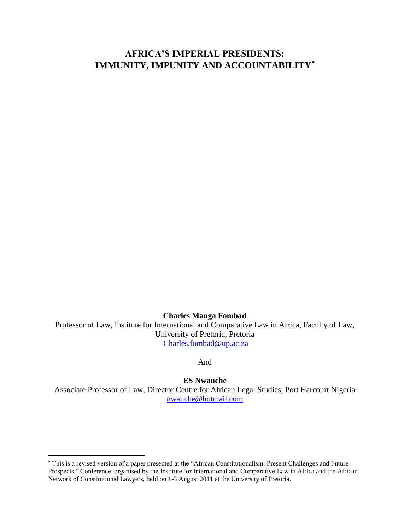# **AFRICA'S IMPERIAL PRESIDENTS: IMMUNITY, IMPUNITY AND ACCOUNTABILITY**

**Charles Manga Fombad** Professor of Law, Institute for International and Comparative Law in Africa, Faculty of Law, University of Pretoria, Pretoria [Charles.fombad@up.ac.za](mailto:Charles.fombad@up.ac.za)

And

**ES Nwauche**

Associate Professor of Law, Director Centre for African Legal Studies, Port Harcourt Nigeria [nwauche@hotmail.com](mailto:nwauche@hotmail.com)

This is a revised version of a paper presented at the "African Constitutionalism: Present Challenges and Future Prospects," Conference organised by the Institute for International and Comparative Law in Africa and the African Network of Constitutional Lawyers, held on 1-3 August 2011 at the University of Pretoria.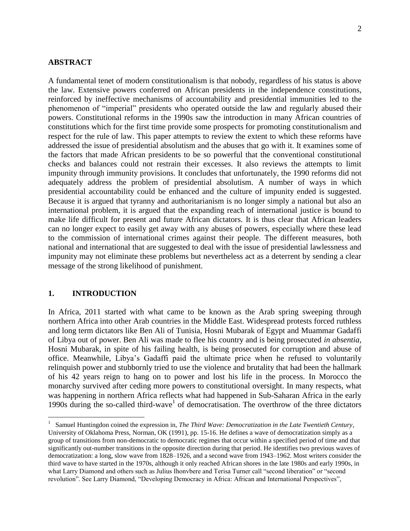### **ABSTRACT**

A fundamental tenet of modern constitutionalism is that nobody, regardless of his status is above the law. Extensive powers conferred on African presidents in the independence constitutions, reinforced by ineffective mechanisms of accountability and presidential immunities led to the phenomenon of "imperial" presidents who operated outside the law and regularly abused their powers. Constitutional reforms in the 1990s saw the introduction in many African countries of constitutions which for the first time provide some prospects for promoting constitutionalism and respect for the rule of law. This paper attempts to review the extent to which these reforms have addressed the issue of presidential absolutism and the abuses that go with it. It examines some of the factors that made African presidents to be so powerful that the conventional constitutional checks and balances could not restrain their excesses. It also reviews the attempts to limit impunity through immunity provisions. It concludes that unfortunately, the 1990 reforms did not adequately address the problem of presidential absolutism. A number of ways in which presidential accountability could be enhanced and the culture of impunity ended is suggested. Because it is argued that tyranny and authoritarianism is no longer simply a national but also an international problem, it is argued that the expanding reach of international justice is bound to make life difficult for present and future African dictators. It is thus clear that African leaders can no longer expect to easily get away with any abuses of powers, especially where these lead to the commission of international crimes against their people. The different measures, both national and international that are suggested to deal with the issue of presidential lawlessness and impunity may not eliminate these problems but nevertheless act as a deterrent by sending a clear message of the strong likelihood of punishment.

### **1. INTRODUCTION**

 $\overline{a}$ 

In Africa, 2011 started with what came to be known as the Arab spring sweeping through northern Africa into other Arab countries in the Middle East. Widespread protests forced ruthless and long term dictators like Ben Ali of Tunisia, Hosni Mubarak of Egypt and Muammar Gadaffi of Libya out of power. Ben Ali was made to flee his country and is being prosecuted *in absentia*, Hosni Mubarak, in spite of his failing health, is being prosecuted for corruption and abuse of office. Meanwhile, Libya"s Gadaffi paid the ultimate price when he refused to voluntarily relinquish power and stubbornly tried to use the violence and brutality that had been the hallmark of his 42 years reign to hang on to power and lost his life in the process. In Morocco the monarchy survived after ceding more powers to constitutional oversight. In many respects, what was happening in northern Africa reflects what had happened in Sub-Saharan Africa in the early 1990s during the so-called third-wave<sup>1</sup> of democratisation. The overthrow of the three dictators

<sup>&</sup>lt;sup>1</sup> Samuel Huntingdon coined the expression in, *The Third Wave: Democratization in the Late Twentieth Century*, University of Oklahoma Press, Norman, OK (1991), pp. 15-16. He defines a wave of democratization simply as a group of transitions from non-democratic to democratic regimes that occur within a specified period of time and that significantly out-number transitions in the opposite direction during that period. He identifies two previous waves of democratization: a long, slow wave from 1828–1926, and a second wave from 1943–1962. Most writers consider the third wave to have started in the 1970s, although it only reached African shores in the late 1980s and early 1990s, in what Larry Diamond and others such as Julius Ihonvbere and Terisa Turner call "second liberation" or "second revolution". See Larry Diamond, "Developing Democracy in Africa: African and International Perspectives",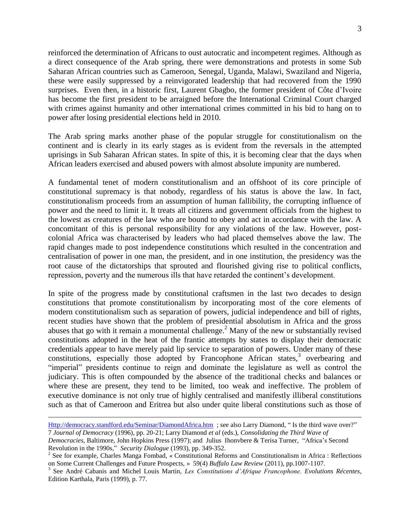reinforced the determination of Africans to oust autocratic and incompetent regimes. Although as a direct consequence of the Arab spring, there were demonstrations and protests in some Sub Saharan African countries such as Cameroon, Senegal, Uganda, Malawi, Swaziland and Nigeria, these were easily suppressed by a reinvigorated leadership that had recovered from the 1990 surprises. Even then, in a historic first, Laurent Gbagbo, the former president of Côte d"Ivoire has become the first president to be arraigned before the International Criminal Court charged with crimes against humanity and other international crimes committed in his bid to hang on to power after losing presidential elections held in 2010.

The Arab spring marks another phase of the popular struggle for constitutionalism on the continent and is clearly in its early stages as is evident from the reversals in the attempted uprisings in Sub Saharan African states. In spite of this, it is becoming clear that the days when African leaders exercised and abused powers with almost absolute impunity are numbered.

A fundamental tenet of modern constitutionalism and an offshoot of its core principle of constitutional supremacy is that nobody, regardless of his status is above the law. In fact, constitutionalism proceeds from an assumption of human fallibility, the corrupting influence of power and the need to limit it. It treats all citizens and government officials from the highest to the lowest as creatures of the law who are bound to obey and act in accordance with the law. A concomitant of this is personal responsibility for any violations of the law. However, postcolonial Africa was characterised by leaders who had placed themselves above the law. The rapid changes made to post independence constitutions which resulted in the concentration and centralisation of power in one man, the president, and in one institution, the presidency was the root cause of the dictatorships that sprouted and flourished giving rise to political conflicts, repression, poverty and the numerous ills that have retarded the continent"s development.

In spite of the progress made by constitutional craftsmen in the last two decades to design constitutions that promote constitutionalism by incorporating most of the core elements of modern constitutionalism such as separation of powers, judicial independence and bill of rights, recent studies have shown that the problem of presidential absolutism in Africa and the gross abuses that go with it remain a monumental challenge.<sup>2</sup> Many of the new or substantially revised constitutions adopted in the heat of the frantic attempts by states to display their democratic credentials appear to have merely paid lip service to separation of powers. Under many of these constitutions, especially those adopted by Francophone African states,<sup>3</sup> overbearing and "imperial" presidents continue to reign and dominate the legislature as well as control the judiciary. This is often compounded by the absence of the traditional checks and balances or where these are present, they tend to be limited, too weak and ineffective. The problem of executive dominance is not only true of highly centralised and manifestly illiberal constitutions such as that of Cameroon and Eritrea but also under quite liberal constitutions such as those of

[Http://democracy.standford.edu/Seminar/DiamondAfrica.htm](http://democracy.standford.edu/Seminar/DiamondAfrica.htm) ; see also Larry Diamond, " Is the third wave over?" 7 *Journal of Democracy* (1996), pp. 20-21; Larry Diamond *et al* (eds.), *Consolidating the Third Wave of* 

*Democracies*, Baltimore, John Hopkins Press (1997); and Julius Ihonvbere & Terisa Turner, "Africa"s Second Revolution in the 1990s," *Security Dialogue* (1993), pp. 349-352.

<sup>&</sup>lt;sup>2</sup> See for example, Charles Manga Fombad, « Constitutional Reforms and Constitutionalism in Africa : Reflections on Some Current Challenges and Future Prospects, » 59(4) *Buffalo Law Review* (2011), pp.1007-1107. 3 See André Cabanis and Michel Louis Martin, *Les Constitutions d'Afrique Francophone. Evolutions Récentes*,

Edition Karthala, Paris (1999), p. 77.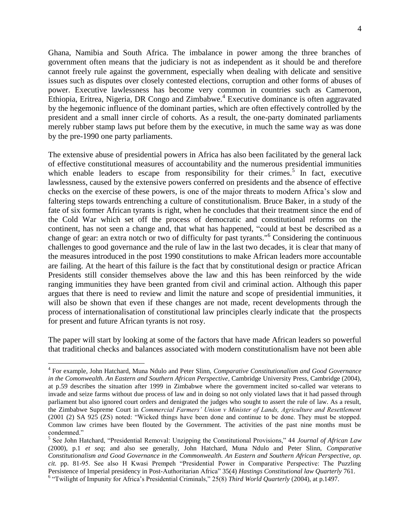Ghana, Namibia and South Africa. The imbalance in power among the three branches of government often means that the judiciary is not as independent as it should be and therefore cannot freely rule against the government, especially when dealing with delicate and sensitive issues such as disputes over closely contested elections, corruption and other forms of abuses of power. Executive lawlessness has become very common in countries such as Cameroon, Ethiopia, Eritrea, Nigeria, DR Congo and Zimbabwe.<sup>4</sup> Executive dominance is often aggravated by the hegemonic influence of the dominant parties, which are often effectively controlled by the president and a small inner circle of cohorts. As a result, the one-party dominated parliaments merely rubber stamp laws put before them by the executive, in much the same way as was done by the pre-1990 one party parliaments.

The extensive abuse of presidential powers in Africa has also been facilitated by the general lack of effective constitutional measures of accountability and the numerous presidential immunities which enable leaders to escape from responsibility for their crimes.<sup>5</sup> In fact, executive lawlessness, caused by the extensive powers conferred on presidents and the absence of effective checks on the exercise of these powers, is one of the major threats to modern Africa"s slow and faltering steps towards entrenching a culture of constitutionalism. Bruce Baker, in a study of the fate of six former African tyrants is right, when he concludes that their treatment since the end of the Cold War which set off the process of democratic and constitutional reforms on the continent, has not seen a change and, that what has happened, "could at best be described as a change of gear: an extra notch or two of difficulty for past tyrants."<sup>6</sup> Considering the continuous challenges to good governance and the rule of law in the last two decades, it is clear that many of the measures introduced in the post 1990 constitutions to make African leaders more accountable are failing. At the heart of this failure is the fact that by constitutional design or practice African Presidents still consider themselves above the law and this has been reinforced by the wide ranging immunities they have been granted from civil and criminal action. Although this paper argues that there is need to review and limit the nature and scope of presidential immunities, it will also be shown that even if these changes are not made, recent developments through the process of internationalisation of constitutional law principles clearly indicate that the prospects for present and future African tyrants is not rosy.

The paper will start by looking at some of the factors that have made African leaders so powerful that traditional checks and balances associated with modern constitutionalism have not been able

<sup>4</sup> For example, John Hatchard, Muna Ndulo and Peter Slinn, *Comparative Constitutionalism and Good Governance in the Comonwealth. An Eastern and Southern African Perspective*, Cambridge University Press, Cambridge (2004), at p.59 describes the situation after 1999 in Zimbabwe where the government incited so-called war veterans to invade and seize farms without due process of law and in doing so not only violated laws that it had passed through parliament but also ignored court orders and denigrated the judges who sought to assert the rule of law. As a result, the Zimbabwe Supreme Court in *Commercial Farmers' Union v Minister of Lands, Agriculture and Resettlement* (2001 (2) SA 925 (ZS) noted: "Wicked things have been done and continue to be done. They must be stopped. Common law crimes have been flouted by the Government. The activities of the past nine months must be condemned."

<sup>5</sup> See John Hatchard, "Presidential Removal: Unzipping the Constitutional Provisions," 44 *Journal of African Law*  (2000), p.1 *et seq*; and also see generally, John Hatchard, Muna Ndulo and Peter Slinn, *Comparative Constitutionalism and Good Governance in the Commonwealth. An Eastern and Southern African Perspective*, *op. cit.* pp. 81-95. See also H Kwasi Prempeh "Presidential Power in Comparative Perspective: The Puzzling Persistence of Imperial presidency in Post-Authoritarian Africa" 35(4) *Hastings Constitutional law Quarterly* 761. <sup>6</sup> "Twilight of Impunity for Africa's Presidential Criminals," 25(8) *Third World Quarterly* (2004), at p.1497.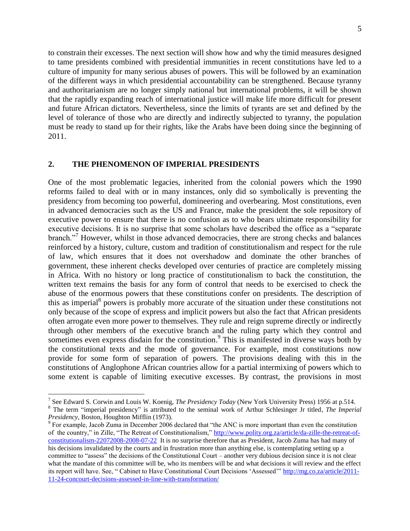to constrain their excesses. The next section will show how and why the timid measures designed to tame presidents combined with presidential immunities in recent constitutions have led to a culture of impunity for many serious abuses of powers. This will be followed by an examination of the different ways in which presidential accountability can be strengthened. Because tyranny and authoritarianism are no longer simply national but international problems, it will be shown that the rapidly expanding reach of international justice will make life more difficult for present and future African dictators. Nevertheless, since the limits of tyrants are set and defined by the level of tolerance of those who are directly and indirectly subjected to tyranny, the population must be ready to stand up for their rights, like the Arabs have been doing since the beginning of 2011.

#### **2. THE PHENOMENON OF IMPERIAL PRESIDENTS**

One of the most problematic legacies, inherited from the colonial powers which the 1990 reforms failed to deal with or in many instances, only did so symbolically is preventing the presidency from becoming too powerful, domineering and overbearing. Most constitutions, even in advanced democracies such as the US and France, make the president the sole repository of executive power to ensure that there is no confusion as to who bears ultimate responsibility for executive decisions. It is no surprise that some scholars have described the office as a "separate branch."<sup>7</sup> However, whilst in those advanced democracies, there are strong checks and balances reinforced by a history, culture, custom and tradition of constitutionalism and respect for the rule of law, which ensures that it does not overshadow and dominate the other branches of government, these inherent checks developed over centuries of practice are completely missing in Africa. With no history or long practice of constitutionalism to back the constitution, the written text remains the basis for any form of control that needs to be exercised to check the abuse of the enormous powers that these constitutions confer on presidents. The description of this as imperial<sup>8</sup> powers is probably more accurate of the situation under these constitutions not only because of the scope of express and implicit powers but also the fact that African presidents often arrogate even more power to themselves. They rule and reign supreme directly or indirectly through other members of the executive branch and the ruling party which they control and sometimes even express disdain for the constitution.<sup>9</sup> This is manifested in diverse ways both by the constitutional texts and the mode of governance. For example, most constitutions now provide for some form of separation of powers. The provisions dealing with this in the constitutions of Anglophone African countries allow for a partial intermixing of powers which to some extent is capable of limiting executive excesses. By contrast, the provisions in most

<sup>7</sup> See Edward S. Corwin and Louis W. Koenig, *The Presidency Today* (New York University Press) 1956 at p.514. <sup>8</sup> The term "imperial presidency" is attributed to the seminal work of Arthur Schlesinger Jr titled, *The Imperial* 

*Presidency*, Boston, Houghton Mifflin (1973).

<sup>&</sup>lt;sup>9</sup> For example, Jacob Zuma in December 2006 declared that "the ANC is more important than even the constitution of the country," in Zille, "The Retreat of Constitutionalism," [http://www.polity.org.za/article/da-zille-the-retreat-of](http://www.polity.org.za/article/da-zille-the-retreat-of-constitutionalism-22072008-2008-07-22)[constitutionalism-22072008-2008-07-22](http://www.polity.org.za/article/da-zille-the-retreat-of-constitutionalism-22072008-2008-07-22) It is no surprise therefore that as President, Jacob Zuma has had many of his decisions invalidated by the courts and in frustration more than anything else, is contemplating setting up a committee to "assess" the decisions of the Constitutional Court – another very dubious decision since it is not clear what the mandate of this committee will be, who its members will be and what decisions it will review and the effect its report will have. See, " Cabinet to Have Constitutional Court Decisions "Assessed"" [http://mg.co.za/article/2011-](http://mg.co.za/article/2011-11-24-concourt-decisions-assessed-in-line-with-transformation/) [11-24-concourt-decisions-assessed-in-line-with-transformation/](http://mg.co.za/article/2011-11-24-concourt-decisions-assessed-in-line-with-transformation/)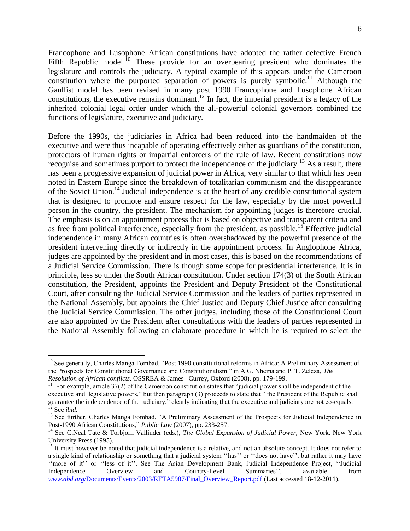Francophone and Lusophone African constitutions have adopted the rather defective French Fifth Republic model.<sup>10</sup> These provide for an overbearing president who dominates the legislature and controls the judiciary. A typical example of this appears under the Cameroon constitution where the purported separation of powers is purely symbolic.<sup>11</sup> Although the Gaullist model has been revised in many post 1990 Francophone and Lusophone African constitutions, the executive remains dominant.<sup>12</sup> In fact, the imperial president is a legacy of the inherited colonial legal order under which the all-powerful colonial governors combined the functions of legislature, executive and judiciary.

Before the 1990s, the judiciaries in Africa had been reduced into the handmaiden of the executive and were thus incapable of operating effectively either as guardians of the constitution, protectors of human rights or impartial enforcers of the rule of law. Recent constitutions now recognise and sometimes purport to protect the independence of the judiciary.<sup>13</sup> As a result, there has been a progressive expansion of judicial power in Africa, very similar to that which has been noted in Eastern Europe since the breakdown of totalitarian communism and the disappearance of the Soviet Union.<sup>14</sup> Judicial independence is at the heart of any credible constitutional system that is designed to promote and ensure respect for the law, especially by the most powerful person in the country, the president. The mechanism for appointing judges is therefore crucial. The emphasis is on an appointment process that is based on objective and transparent criteria and as free from political interference, especially from the president, as possible.<sup>15</sup> Effective judicial independence in many African countries is often overshadowed by the powerful presence of the president intervening directly or indirectly in the appointment process. In Anglophone Africa, judges are appointed by the president and in most cases, this is based on the recommendations of a Judicial Service Commission. There is though some scope for presidential interference. It is in principle, less so under the South African constitution. Under section 174(3) of the South African constitution, the President, appoints the President and Deputy President of the Constitutional Court, after consulting the Judicial Service Commission and the leaders of parties represented in the National Assembly, but appoints the Chief Justice and Deputy Chief Justice after consulting the Judicial Service Commission. The other judges, including those of the Constitutional Court are also appointed by the President after consultations with the leaders of parties represented in the National Assembly following an elaborate procedure in which he is required to select the

<sup>&</sup>lt;sup>10</sup> See generally, Charles Manga Fombad, "Post 1990 constitutional reforms in Africa: A Preliminary Assessment of the Prospects for Constitutional Governance and Constitutionalism." in A.G. Nhema and P. T. Zeleza, *The Resolution of African conflicts*. OSSREA & James Currey, Oxford (2008), pp. 179-199.

<sup>&</sup>lt;sup>11</sup> For example, article  $37(2)$  of the Cameroon constitution states that "judicial power shall be independent of the executive and legislative powers," but then paragraph (3) proceeds to state that " the President of the Republic shall guarantee the independence of the judiciary," clearly indicating that the executive and judiciary are not co-equals. <sup>12</sup> See *ibid.*

<sup>&</sup>lt;sup>13</sup> See further, Charles Manga Fombad, "A Preliminary Assessment of the Prospects for Judicial Independence in Post-1990 African Constitutions," *Public Law* (2007), pp. 233-257.

<sup>14</sup> See C.Neal Tate & Torbjorn Vallinder (eds.), *The Global Expansion of Judicial Power*, New York, New York University Press (1995).

<sup>&</sup>lt;sup>15</sup> It must however be noted that judicial independence is a relative, and not an absolute concept. It does not refer to a single kind of relationship or something that a judicial system ""has"" or ""does not have"", but rather it may have "more of it" or "less of it". See The Asian Development Bank, Judicial Independence Project, "Judicial Independence Overview and Country-Level Summaries", available from *www.abd.org*[/Documents/Events/2003/RETA5987/Final\\_Overview\\_Report.pdf](http://www.abd.org/Documents/Events/2003/RETA5987/Final_Overview_Report.pdf) (Last accessed 18-12-2011).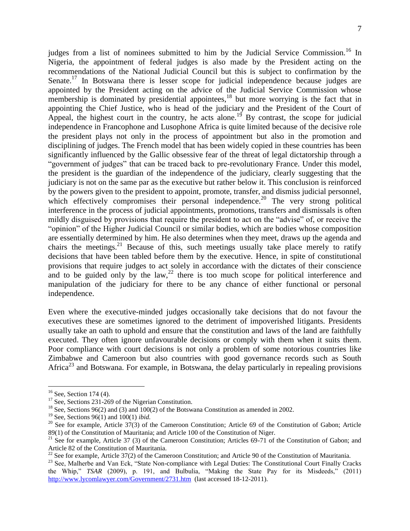judges from a list of nominees submitted to him by the Judicial Service Commission.<sup>16</sup> In Nigeria, the appointment of federal judges is also made by the President acting on the recommendations of the National Judicial Council but this is subject to confirmation by the Senate.<sup>17</sup> In Botswana there is lesser scope for judicial independence because judges are appointed by the President acting on the advice of the Judicial Service Commission whose membership is dominated by presidential appointees, $18$  but more worrying is the fact that in appointing the Chief Justice, who is head of the judiciary and the President of the Court of Appeal, the highest court in the country, he acts alone.<sup>19</sup> By contrast, the scope for judicial independence in Francophone and Lusophone Africa is quite limited because of the decisive role the president plays not only in the process of appointment but also in the promotion and disciplining of judges. The French model that has been widely copied in these countries has been significantly influenced by the Gallic obsessive fear of the threat of legal dictatorship through a "government of judges" that can be traced back to pre-revolutionary France. Under this model, the president is the guardian of the independence of the judiciary, clearly suggesting that the judiciary is not on the same par as the executive but rather below it. This conclusion is reinforced by the powers given to the president to appoint, promote, transfer, and dismiss judicial personnel, which effectively compromises their personal independence.<sup>20</sup> The very strong political interference in the process of judicial appointments, promotions, transfers and dismissals is often mildly disguised by provisions that require the president to act on the "advise" of, or receive the "opinion" of the Higher Judicial Council or similar bodies, which are bodies whose composition are essentially determined by him. He also determines when they meet, draws up the agenda and chairs the meetings.<sup>21</sup> Because of this, such meetings usually take place merely to ratify decisions that have been tabled before them by the executive. Hence, in spite of constitutional provisions that require judges to act solely in accordance with the dictates of their conscience and to be guided only by the law,  $2^2$  there is too much scope for political interference and manipulation of the judiciary for there to be any chance of either functional or personal independence.

Even where the executive-minded judges occasionally take decisions that do not favour the executives these are sometimes ignored to the detriment of impoverished litigants. Presidents usually take an oath to uphold and ensure that the constitution and laws of the land are faithfully executed. They often ignore unfavourable decisions or comply with them when it suits them. Poor compliance with court decisions is not only a problem of some notorious countries like Zimbabwe and Cameroon but also countries with good governance records such as South Africa<sup>23</sup> and Botswana. For example, in Botswana, the delay particularly in repealing provisions

<sup>&</sup>lt;sup>16</sup> See, Section 174 (4).

 $17$  See, Sections 231-269 of the Nigerian Constitution.

 $18$  See, Sections 96(2) and (3) and 100(2) of the Botswana Constitution as amended in 2002.

<sup>19</sup> See, Sections 96(1) and 100(1) *ibid.*

<sup>&</sup>lt;sup>20</sup> See for example, Article  $37(3)$  of the Cameroon Constitution; Article 69 of the Constitution of Gabon; Article 89(1) of the Constitution of Mauritania; and Article 100 of the Constitution of Niger.

 $21$  See for example, Article 37 (3) of the Cameroon Constitution; Articles 69-71 of the Constitution of Gabon; and Article 82 of the Constitution of Mauritania.

<sup>&</sup>lt;sup>22</sup> See for example, Article 37(2) of the Cameroon Constitution; and Article 90 of the Constitution of Mauritania.

<sup>&</sup>lt;sup>23</sup> See, Malherbe and Van Eck, "State Non-compliance with Legal Duties: The Constitutional Court Finally Cracks the Whip," *TSAR* (2009), p. 191, and Bulbulia, "Making the State Pay for its Misdeeds," (2011) <http://www.lycomlawyer.com/Government/2731.htm> (last accessed 18-12-2011).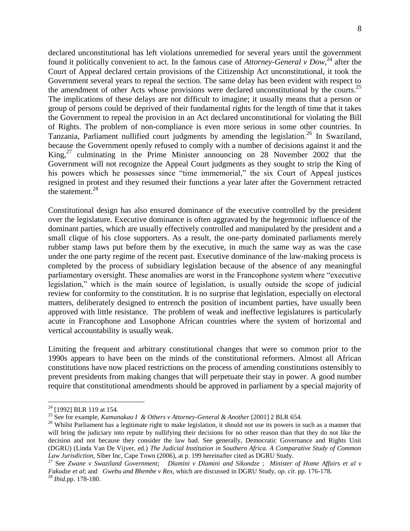declared unconstitutional has left violations unremedied for several years until the government found it politically convenient to act. In the famous case of *Attorney-General v Dow*, <sup>24</sup> after the Court of Appeal declared certain provisions of the Citizenship Act unconstitutional, it took the Government several years to repeal the section. The same delay has been evident with respect to the amendment of other Acts whose provisions were declared unconstitutional by the courts.<sup>25</sup> The implications of these delays are not difficult to imagine; it usually means that a person or group of persons could be deprived of their fundamental rights for the length of time that it takes the Government to repeal the provision in an Act declared unconstitutional for violating the Bill of Rights. The problem of non-compliance is even more serious in some other countries. In Tanzania, Parliament nullified court judgments by amending the legislation.<sup>26</sup> In Swaziland, because the Government openly refused to comply with a number of decisions against it and the  $King<sup>27</sup>$  culminating in the Prime Minister announcing on 28 November 2002 that the Government will not recognize the Appeal Court judgments as they sought to strip the King of his powers which he possesses since "time immemorial," the six Court of Appeal justices resigned in protest and they resumed their functions a year later after the Government retracted the statement. $28$ 

Constitutional design has also ensured dominance of the executive controlled by the president over the legislature. Executive dominance is often aggravated by the hegemonic influence of the dominant parties, which are usually effectively controlled and manipulated by the president and a small clique of his close supporters. As a result, the one-party dominated parliaments merely rubber stamp laws put before them by the executive, in much the same way as was the case under the one party regime of the recent past. Executive dominance of the law-making process is completed by the process of subsidiary legislation because of the absence of any meaningful parliamentary oversight. These anomalies are worst in the Francophone system where "executive legislation," which is the main source of legislation, is usually outside the scope of judicial review for conformity to the constitution. It is no surprise that legislation, especially on electoral matters, deliberately designed to entrench the position of incumbent parties, have usually been approved with little resistance. The problem of weak and ineffective legislatures is particularly acute in Francophone and Lusophone African countries where the system of horizontal and vertical accountability is usually weak.

Limiting the frequent and arbitrary constitutional changes that were so common prior to the 1990s appears to have been on the minds of the constitutional reformers. Almost all African constitutions have now placed restrictions on the process of amending constitutions ostensibly to prevent presidents from making changes that will perpetuate their stay in power. A good number require that constitutional amendments should be approved in parliament by a special majority of

<sup>&</sup>lt;sup>24</sup> [1992] BLR 119 at 154.

<sup>25</sup> See for example, *Kamanakao I & Others v Attorney-General & Another* [2001] 2 BLR 654.

<sup>&</sup>lt;sup>26</sup> Whilst Parliament has a legitimate right to make legislation, it should not use its powers in such as a manner that will bring the judiciary into repute by nullifying their decisions for no other reason than that they do not like the decision and not because they consider the law bad. See generally, Democratic Governance and Rights Unit (DGRU) (Linda Van De Vijver, ed.) *The Judicial Institution in Southern Africa. A Comparative Study of Common Law Jurisdiction*, Siber Inc, Cape Town (2006), at p. 199 hereinafter cited as DGRU Study.

<sup>27</sup> See *Zwane v Swaziland Government*; *Dlamini v Dlamini and Sikondze* ; *Minister of Home Affairs et al v Fakudze et al*; and *Gwebu and Bhembe v Rex*, which are discussed in DGRU Study, *op. cit.* pp. 176-178. <sup>28</sup> *Ibid.*pp. 178-180.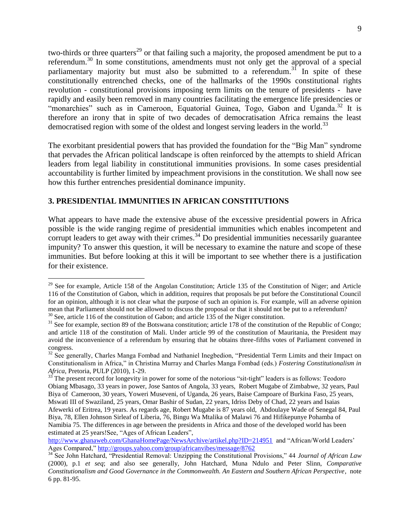two-thirds or three quarters<sup>29</sup> or that failing such a majority, the proposed amendment be put to a referendum.<sup>30</sup> In some constitutions, amendments must not only get the approval of a special parliamentary majority but must also be submitted to a referendum.<sup>31</sup> In spite of these constitutionally entrenched checks, one of the hallmarks of the 1990s constitutional rights revolution - constitutional provisions imposing term limits on the tenure of presidents - have rapidly and easily been removed in many countries facilitating the emergence life presidencies or "monarchies" such as in Cameroon, Equatorial Guinea, Togo, Gabon and Uganda.<sup>32</sup> It is therefore an irony that in spite of two decades of democratisation Africa remains the least democratised region with some of the oldest and longest serving leaders in the world.<sup>33</sup>

The exorbitant presidential powers that has provided the foundation for the "Big Man" syndrome that pervades the African political landscape is often reinforced by the attempts to shield African leaders from legal liability in constitutional immunities provisions. In some cases presidential accountability is further limited by impeachment provisions in the constitution. We shall now see how this further entrenches presidential dominance impunity.

# **3. PRESIDENTIAL IMMUNITIES IN AFRICAN CONSTITUTIONS**

 $\overline{a}$ 

What appears to have made the extensive abuse of the excessive presidential powers in Africa possible is the wide ranging regime of presidential immunities which enables incompetent and corrupt leaders to get away with their crimes.<sup>34</sup> Do presidential immunities necessarily guarantee impunity? To answer this question, it will be necessary to examine the nature and scope of these immunities. But before looking at this it will be important to see whether there is a justification for their existence.

 $29$  See for example, Article 158 of the Angolan Constitution; Article 135 of the Constitution of Niger; and Article 116 of the Constitution of Gabon, which in addition, requires that proposals be put before the Constitutional Council for an opinion, although it is not clear what the purpose of such an opinion is. For example, will an adverse opinion mean that Parliament should not be allowed to discuss the proposal or that it should not be put to a referendum?  $30$  See, article 116 of the constitution of Gabon; and article 135 of the Niger constitution.

<sup>&</sup>lt;sup>31</sup> See for example, section 89 of the Botswana constitution; article 178 of the constitution of the Republic of Congo; and article 118 of the constitution of Mali. Under article 99 of the constitution of Mauritania, the President may avoid the inconvenience of a referendum by ensuring that he obtains three-fifths votes of Parliament convened in congress.

<sup>&</sup>lt;sup>32</sup> See generally, Charles Manga Fombad and Nathaniel Inegbedion, "Presidential Term Limits and their Impact on Constitutionalism in Africa," in Christina Murray and Charles Manga Fombad (eds.) *Fostering Constitutionalism in Africa*, Pretoria, PULP (2010), 1-29.

 $33$  The present record for longevity in power for some of the notorious "sit-tight" leaders is as follows: Teodoro Obiang Mbasago, 33 years in power, Jose Santos of Angola, 33 years, Robert Mugabe of Zimbabwe, 32 years, Paul Biya of Cameroon, 30 years, Yoweri Museveni, of Uganda, 26 years, Baise Campoare of Burkina Faso, 25 years, Mswati III of Swaziland, 25 years, Omar Bashir of Sudan, 22 years, Idriss Deby of Chad, 22 years and Isaias Afewerki of Eritrea, 19 years. As regards age, Robert Mugabe is 87 years old, Abdoulaye Wade of Senegal 84, Paul Biya, 78, Ellen Johnson Sirleaf of Liberia, 76, Bingu Wa Mtalika of Malawi 76 and Hifikepunye Pohamba of Namibia 75. The differences in age between the presidents in Africa and those of the developed world has been estimated at 25 years!See, "Ages of African Leaders",

<http://www.ghanaweb.com/GhanaHomePage/NewsArchive/artikel.php?ID=214951>and "African/World Leaders" Ages Compared," <http://groups.yahoo.com/group/africanvibes/message/8762>

<sup>34</sup> See John Hatchard, "Presidential Removal: Unzipping the Constitutional Provisions," 44 *Journal of African Law*  (2000), p.1 *et seq*; and also see generally, John Hatchard, Muna Ndulo and Peter Slinn, *Comparative Constitutionalism and Good Governance in the Commonwealth. An Eastern and Southern African Perspective*, note 6 pp. 81-95.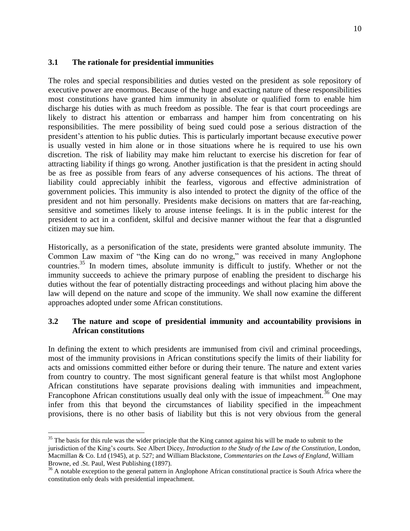#### **3.1 The rationale for presidential immunities**

 $\overline{a}$ 

The roles and special responsibilities and duties vested on the president as sole repository of executive power are enormous. Because of the huge and exacting nature of these responsibilities most constitutions have granted him immunity in absolute or qualified form to enable him discharge his duties with as much freedom as possible. The fear is that court proceedings are likely to distract his attention or embarrass and hamper him from concentrating on his responsibilities. The mere possibility of being sued could pose a serious distraction of the president"s attention to his public duties. This is particularly important because executive power is usually vested in him alone or in those situations where he is required to use his own discretion. The risk of liability may make him reluctant to exercise his discretion for fear of attracting liability if things go wrong. Another justification is that the president in acting should be as free as possible from fears of any adverse consequences of his actions. The threat of liability could appreciably inhibit the fearless, vigorous and effective administration of government policies. This immunity is also intended to protect the dignity of the office of the president and not him personally. Presidents make decisions on matters that are far-reaching, sensitive and sometimes likely to arouse intense feelings. It is in the public interest for the president to act in a confident, skilful and decisive manner without the fear that a disgruntled citizen may sue him.

Historically, as a personification of the state, presidents were granted absolute immunity. The Common Law maxim of "the King can do no wrong," was received in many Anglophone countries. <sup>35</sup> In modern times, absolute immunity is difficult to justify. Whether or not the immunity succeeds to achieve the primary purpose of enabling the president to discharge his duties without the fear of potentially distracting proceedings and without placing him above the law will depend on the nature and scope of the immunity. We shall now examine the different approaches adopted under some African constitutions.

# **3.2 The nature and scope of presidential immunity and accountability provisions in African constitutions**

In defining the extent to which presidents are immunised from civil and criminal proceedings, most of the immunity provisions in African constitutions specify the limits of their liability for acts and omissions committed either before or during their tenure. The nature and extent varies from country to country. The most significant general feature is that whilst most Anglophone African constitutions have separate provisions dealing with immunities and impeachment, Francophone African constitutions usually deal only with the issue of impeachment.<sup>36</sup> One may infer from this that beyond the circumstances of liability specified in the impeachment provisions, there is no other basis of liability but this is not very obvious from the general

 $35$  The basis for this rule was the wider principle that the King cannot against his will be made to submit to the jurisdiction of the King"s courts. See Albert Dicey, *Introduction to the Study of the Law of the Constitution*, London, Macmillan & Co. Ltd (1945), at p. 527; and William Blackstone, *Commentaries on the Laws of England*, William Browne, ed .St. Paul, West Publishing (1897).

<sup>&</sup>lt;sup>36</sup> A notable exception to the general pattern in Anglophone African constitutional practice is South Africa where the constitution only deals with presidential impeachment.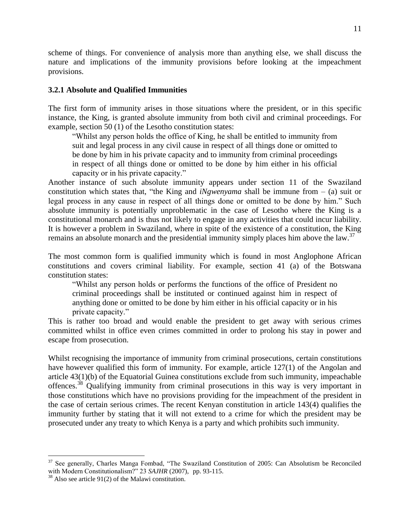scheme of things. For convenience of analysis more than anything else, we shall discuss the nature and implications of the immunity provisions before looking at the impeachment provisions.

### **3.2.1 Absolute and Qualified Immunities**

The first form of immunity arises in those situations where the president, or in this specific instance, the King, is granted absolute immunity from both civil and criminal proceedings. For example, section 50 (1) of the Lesotho constitution states:

"Whilst any person holds the office of King, he shall be entitled to immunity from suit and legal process in any civil cause in respect of all things done or omitted to be done by him in his private capacity and to immunity from criminal proceedings in respect of all things done or omitted to be done by him either in his official capacity or in his private capacity."

Another instance of such absolute immunity appears under section 11 of the Swaziland constitution which states that, "the King and *iNgwenyama* shall be immune from – (a) suit or legal process in any cause in respect of all things done or omitted to be done by him." Such absolute immunity is potentially unproblematic in the case of Lesotho where the King is a constitutional monarch and is thus not likely to engage in any activities that could incur liability. It is however a problem in Swaziland, where in spite of the existence of a constitution, the King remains an absolute monarch and the presidential immunity simply places him above the law.<sup>37</sup>

The most common form is qualified immunity which is found in most Anglophone African constitutions and covers criminal liability. For example, section 41 (a) of the Botswana constitution states:

"Whilst any person holds or performs the functions of the office of President no criminal proceedings shall be instituted or continued against him in respect of anything done or omitted to be done by him either in his official capacity or in his private capacity."

This is rather too broad and would enable the president to get away with serious crimes committed whilst in office even crimes committed in order to prolong his stay in power and escape from prosecution.

Whilst recognising the importance of immunity from criminal prosecutions, certain constitutions have however qualified this form of immunity. For example, article 127(1) of the Angolan and article 43(1)(b) of the Equatorial Guinea constitutions exclude from such immunity, impeachable offences.<sup>38</sup> Qualifying immunity from criminal prosecutions in this way is very important in those constitutions which have no provisions providing for the impeachment of the president in the case of certain serious crimes. The recent Kenyan constitution in article 143(4) qualifies the immunity further by stating that it will not extend to a crime for which the president may be prosecuted under any treaty to which Kenya is a party and which prohibits such immunity.

<sup>&</sup>lt;sup>37</sup> See generally, Charles Manga Fombad, "The Swaziland Constitution of 2005: Can Absolutism be Reconciled with Modern Constitutionalism?" 23 *SAJHR* (2007), pp. 93-115.

 $38$  Also see article 91(2) of the Malawi constitution.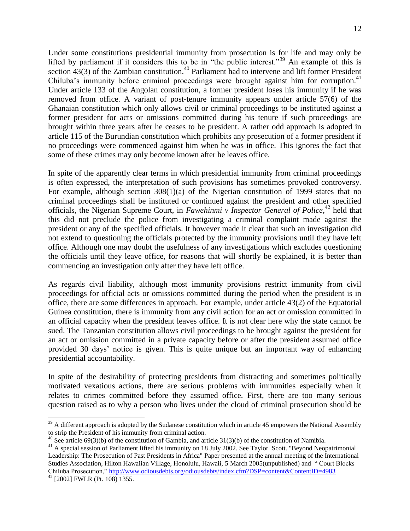Under some constitutions presidential immunity from prosecution is for life and may only be lifted by parliament if it considers this to be in "the public interest."<sup>39</sup> An example of this is section  $43(3)$  of the Zambian constitution.<sup>40</sup> Parliament had to intervene and lift former President Chiluba's immunity before criminal proceedings were brought against him for corruption.<sup>41</sup> Under article 133 of the Angolan constitution, a former president loses his immunity if he was removed from office. A variant of post-tenure immunity appears under article 57(6) of the Ghanaian constitution which only allows civil or criminal proceedings to be instituted against a former president for acts or omissions committed during his tenure if such proceedings are brought within three years after he ceases to be president. A rather odd approach is adopted in article 115 of the Burundian constitution which prohibits any prosecution of a former president if no proceedings were commenced against him when he was in office. This ignores the fact that some of these crimes may only become known after he leaves office.

In spite of the apparently clear terms in which presidential immunity from criminal proceedings is often expressed, the interpretation of such provisions has sometimes provoked controversy. For example, although section 308(1)(a) of the Nigerian constitution of 1999 states that no criminal proceedings shall be instituted or continued against the president and other specified officials, the Nigerian Supreme Court, in *Fawehinmi v Inspector General of Police*, <sup>42</sup> held that this did not preclude the police from investigating a criminal complaint made against the president or any of the specified officials. It however made it clear that such an investigation did not extend to questioning the officials protected by the immunity provisions until they have left office. Although one may doubt the usefulness of any investigations which excludes questioning the officials until they leave office, for reasons that will shortly be explained, it is better than commencing an investigation only after they have left office.

As regards civil liability, although most immunity provisions restrict immunity from civil proceedings for official acts or omissions committed during the period when the president is in office, there are some differences in approach. For example, under article 43(2) of the Equatorial Guinea constitution, there is immunity from any civil action for an act or omission committed in an official capacity when the president leaves office. It is not clear here why the state cannot be sued. The Tanzanian constitution allows civil proceedings to be brought against the president for an act or omission committed in a private capacity before or after the president assumed office provided 30 days" notice is given. This is quite unique but an important way of enhancing presidential accountability.

In spite of the desirability of protecting presidents from distracting and sometimes politically motivated vexatious actions, there are serious problems with immunities especially when it relates to crimes committed before they assumed office. First, there are too many serious question raised as to why a person who lives under the cloud of criminal prosecution should be

 $39$  A different approach is adopted by the Sudanese constitution which in article 45 empowers the National Assembly to strip the President of his immunity from criminal action.

<sup>&</sup>lt;sup>40</sup> See article 69(3)(b) of the constitution of Gambia, and article 31(3)(b) of the constitution of Namibia.

<sup>&</sup>lt;sup>41</sup> A special session of Parliament lifted his immunity on 18 July 2002. See Taylor Scott. "Beyond Neopatrimonial Leadership: The Prosecution of Past Presidents in Africa" Paper presented at the annual meeting of the International Studies Association, Hilton Hawaiian Village, Honolulu, Hawaii, 5 March 2005(unpublished) and " Court Blocks Chiluba Prosecution,"<http://www.odiousdebts.org/odiousdebts/index.cfm?DSP=content&ContentID=4983>  $42$  [2002] FWLR (Pt. 108) 1355.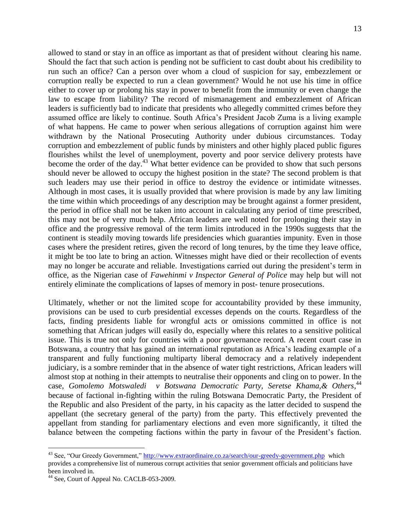allowed to stand or stay in an office as important as that of president without clearing his name. Should the fact that such action is pending not be sufficient to cast doubt about his credibility to run such an office? Can a person over whom a cloud of suspicion for say, embezzlement or corruption really be expected to run a clean government? Would he not use his time in office either to cover up or prolong his stay in power to benefit from the immunity or even change the law to escape from liability? The record of mismanagement and embezzlement of African leaders is sufficiently bad to indicate that presidents who allegedly committed crimes before they assumed office are likely to continue. South Africa"s President Jacob Zuma is a living example of what happens. He came to power when serious allegations of corruption against him were withdrawn by the National Prosecuting Authority under dubious circumstances. Today corruption and embezzlement of public funds by ministers and other highly placed public figures flourishes whilst the level of unemployment, poverty and poor service delivery protests have become the order of the day. <sup>43</sup> What better evidence can be provided to show that such persons should never be allowed to occupy the highest position in the state? The second problem is that such leaders may use their period in office to destroy the evidence or intimidate witnesses. Although in most cases, it is usually provided that where provision is made by any law limiting the time within which proceedings of any description may be brought against a former president, the period in office shall not be taken into account in calculating any period of time prescribed, this may not be of very much help. African leaders are well noted for prolonging their stay in office and the progressive removal of the term limits introduced in the 1990s suggests that the continent is steadily moving towards life presidencies which guaranties impunity. Even in those cases where the president retires, given the record of long tenures, by the time they leave office, it might be too late to bring an action. Witnesses might have died or their recollection of events may no longer be accurate and reliable. Investigations carried out during the president's term in office, as the Nigerian case of *Fawehinmi v Inspector General of Police* may help but will not entirely eliminate the complications of lapses of memory in post- tenure prosecutions.

Ultimately, whether or not the limited scope for accountability provided by these immunity, provisions can be used to curb presidential excesses depends on the courts. Regardless of the facts, finding presidents liable for wrongful acts or omissions committed in office is not something that African judges will easily do, especially where this relates to a sensitive political issue. This is true not only for countries with a poor governance record. A recent court case in Botswana, a country that has gained an international reputation as Africa"s leading example of a transparent and fully functioning multiparty liberal democracy and a relatively independent judiciary, is a sombre reminder that in the absence of water tight restrictions, African leaders will almost stop at nothing in their attempts to neutralise their opponents and cling on to power. In the case, *Gomolemo Motswaledi v Botswana Democratic Party, Seretse Khama,& Others*, 44 because of factional in-fighting within the ruling Botswana Democratic Party, the President of the Republic and also President of the party, in his capacity as the latter decided to suspend the appellant (the secretary general of the party) from the party. This effectively prevented the appellant from standing for parliamentary elections and even more significantly, it tilted the balance between the competing factions within the party in favour of the President"s faction.

<sup>&</sup>lt;sup>43</sup> See, "Our Greedy Government,"<http://www.extraordinaire.co.za/search/our-greedy-government.php>which provides a comprehensive list of numerous corrupt activities that senior government officials and politicians have been involved in.

<sup>&</sup>lt;sup>44</sup> See, Court of Appeal No. CACLB-053-2009.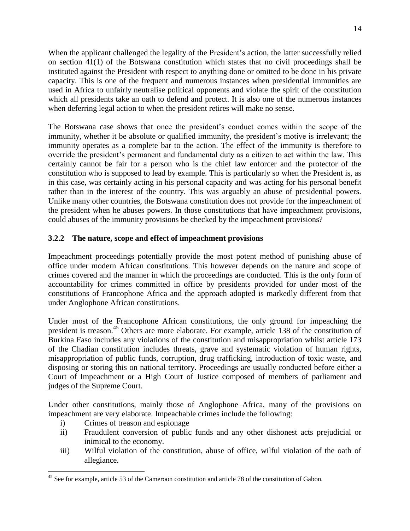When the applicant challenged the legality of the President's action, the latter successfully relied on section 41(1) of the Botswana constitution which states that no civil proceedings shall be instituted against the President with respect to anything done or omitted to be done in his private capacity. This is one of the frequent and numerous instances when presidential immunities are used in Africa to unfairly neutralise political opponents and violate the spirit of the constitution which all presidents take an oath to defend and protect. It is also one of the numerous instances when deferring legal action to when the president retires will make no sense.

The Botswana case shows that once the president"s conduct comes within the scope of the immunity, whether it be absolute or qualified immunity, the president's motive is irrelevant; the immunity operates as a complete bar to the action. The effect of the immunity is therefore to override the president's permanent and fundamental duty as a citizen to act within the law. This certainly cannot be fair for a person who is the chief law enforcer and the protector of the constitution who is supposed to lead by example. This is particularly so when the President is, as in this case, was certainly acting in his personal capacity and was acting for his personal benefit rather than in the interest of the country. This was arguably an abuse of presidential powers. Unlike many other countries, the Botswana constitution does not provide for the impeachment of the president when he abuses powers. In those constitutions that have impeachment provisions, could abuses of the immunity provisions be checked by the impeachment provisions?

# **3.2.2 The nature, scope and effect of impeachment provisions**

Impeachment proceedings potentially provide the most potent method of punishing abuse of office under modern African constitutions. This however depends on the nature and scope of crimes covered and the manner in which the proceedings are conducted. This is the only form of accountability for crimes committed in office by presidents provided for under most of the constitutions of Francophone Africa and the approach adopted is markedly different from that under Anglophone African constitutions.

Under most of the Francophone African constitutions, the only ground for impeaching the president is treason.<sup>45</sup> Others are more elaborate. For example, article 138 of the constitution of Burkina Faso includes any violations of the constitution and misappropriation whilst article 173 of the Chadian constitution includes threats, grave and systematic violation of human rights, misappropriation of public funds, corruption, drug trafficking, introduction of toxic waste, and disposing or storing this on national territory. Proceedings are usually conducted before either a Court of Impeachment or a High Court of Justice composed of members of parliament and judges of the Supreme Court.

Under other constitutions, mainly those of Anglophone Africa, many of the provisions on impeachment are very elaborate. Impeachable crimes include the following:

i) Crimes of treason and espionage

- ii) Fraudulent conversion of public funds and any other dishonest acts prejudicial or inimical to the economy.
- iii) Wilful violation of the constitution, abuse of office, wilful violation of the oath of allegiance.

<sup>&</sup>lt;sup>45</sup> See for example, article 53 of the Cameroon constitution and article 78 of the constitution of Gabon.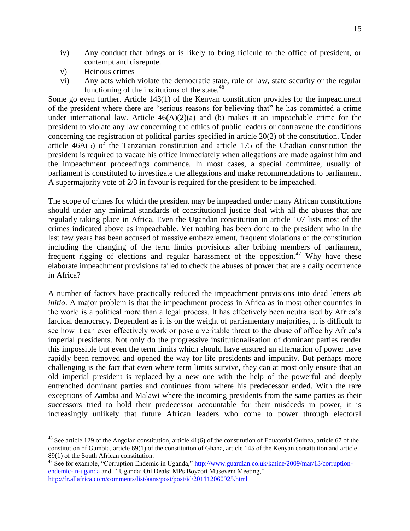- iv) Any conduct that brings or is likely to bring ridicule to the office of president, or contempt and disrepute.
- v) Heinous crimes

 $\overline{a}$ 

vi) Any acts which violate the democratic state, rule of law, state security or the regular functioning of the institutions of the state. $46$ 

Some go even further. Article 143(1) of the Kenyan constitution provides for the impeachment of the president where there are "serious reasons for believing that" he has committed a crime under international law. Article  $46(A)(2)(a)$  and (b) makes it an impeachable crime for the president to violate any law concerning the ethics of public leaders or contravene the conditions concerning the registration of political parties specified in article 20(2) of the constitution. Under article 46A(5) of the Tanzanian constitution and article 175 of the Chadian constitution the president is required to vacate his office immediately when allegations are made against him and the impeachment proceedings commence. In most cases, a special committee, usually of parliament is constituted to investigate the allegations and make recommendations to parliament. A supermajority vote of 2/3 in favour is required for the president to be impeached.

The scope of crimes for which the president may be impeached under many African constitutions should under any minimal standards of constitutional justice deal with all the abuses that are regularly taking place in Africa. Even the Ugandan constitution in article 107 lists most of the crimes indicated above as impeachable. Yet nothing has been done to the president who in the last few years has been accused of massive embezzlement, frequent violations of the constitution including the changing of the term limits provisions after bribing members of parliament, frequent rigging of elections and regular harassment of the opposition.<sup>47</sup> Why have these elaborate impeachment provisions failed to check the abuses of power that are a daily occurrence in Africa?

A number of factors have practically reduced the impeachment provisions into dead letters *ab initio*. A major problem is that the impeachment process in Africa as in most other countries in the world is a political more than a legal process. It has effectively been neutralised by Africa"s farcical democracy. Dependent as it is on the weight of parliamentary majorities, it is difficult to see how it can ever effectively work or pose a veritable threat to the abuse of office by Africa"s imperial presidents. Not only do the progressive institutionalisation of dominant parties render this impossible but even the term limits which should have ensured an alternation of power have rapidly been removed and opened the way for life presidents and impunity. But perhaps more challenging is the fact that even where term limits survive, they can at most only ensure that an old imperial president is replaced by a new one with the help of the powerful and deeply entrenched dominant parties and continues from where his predecessor ended. With the rare exceptions of Zambia and Malawi where the incoming presidents from the same parties as their successors tried to hold their predecessor accountable for their misdeeds in power, it is increasingly unlikely that future African leaders who come to power through electoral

 $46$  See article 129 of the Angolan constitution, article 41(6) of the constitution of Equatorial Guinea, article 67 of the constitution of Gambia, article 69(1) of the constitution of Ghana, article 145 of the Kenyan constitution and article 89(1) of the South African constitution.

<sup>&</sup>lt;sup>47</sup> See for example, "Corruption Endemic in Uganda," [http://www.guardian.co.uk/katine/2009/mar/13/corruption](http://www.guardian.co.uk/katine/2009/mar/13/corruption-endemic-in-uganda)[endemic-in-uganda](http://www.guardian.co.uk/katine/2009/mar/13/corruption-endemic-in-uganda) and " Uganda: Oil Deals: MPs Boycott Museveni Meeting." <http://fr.allafrica.com/comments/list/aans/post/post/id/201112060925.html>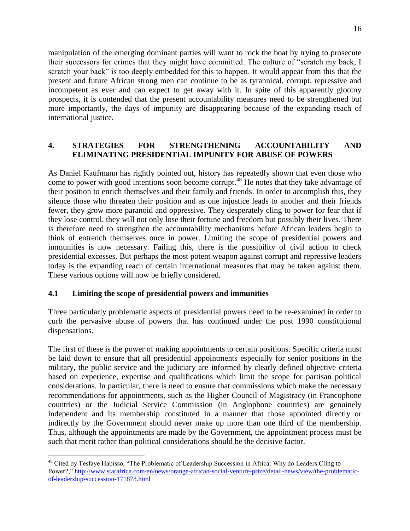manipulation of the emerging dominant parties will want to rock the boat by trying to prosecute their successors for crimes that they might have committed. The culture of "scratch my back, I scratch your back" is too deeply embedded for this to happen. It would appear from this that the present and future African strong men can continue to be as tyrannical, corrupt, repressive and incompetent as ever and can expect to get away with it. In spite of this apparently gloomy prospects, it is contended that the present accountability measures need to be strengthened but more importantly, the days of impunity are disappearing because of the expanding reach of international justice.

# **4. STRATEGIES FOR STRENGTHENING ACCOUNTABILITY AND ELIMINATING PRESIDENTIAL IMPUNITY FOR ABUSE OF POWERS**

As Daniel Kaufmann has rightly pointed out, history has repeatedly shown that even those who come to power with good intentions soon become corrupt.<sup>48</sup> He notes that they take advantage of their position to enrich themselves and their family and friends. In order to accomplish this, they silence those who threaten their position and as one injustice leads to another and their friends fewer, they grow more paranoid and oppressive. They desperately cling to power for fear that if they lose control, they will not only lose their fortune and freedom but possibly their lives. There is therefore need to strengthen the accountability mechanisms before African leaders begin to think of entrench themselves once in power. Limiting the scope of presidential powers and immunities is now necessary. Failing this, there is the possibility of civil action to check presidential excesses. But perhaps the most potent weapon against corrupt and repressive leaders today is the expanding reach of certain international measures that may be taken against them. These various options will now be briefly considered.

# **4.1 Limiting the scope of presidential powers and immunities**

 $\overline{a}$ 

Three particularly problematic aspects of presidential powers need to be re-examined in order to curb the pervasive abuse of powers that has continued under the post 1990 constitutional dispensations.

The first of these is the power of making appointments to certain positions. Specific criteria must be laid down to ensure that all presidential appointments especially for senior positions in the military, the public service and the judiciary are informed by clearly defined objective criteria based on experience, expertise and qualifications which limit the scope for partisan political considerations. In particular, there is need to ensure that commissions which make the necessary recommendations for appointments, such as the Higher Council of Magistracy (in Francophone countries) or the Judicial Service Commission (in Anglophone countries) are genuinely independent and its membership constituted in a manner that those appointed directly or indirectly by the Government should never make up more than one third of the membership. Thus, although the appointments are made by the Government, the appointment process must be such that merit rather than political considerations should be the decisive factor.

<sup>&</sup>lt;sup>48</sup> Cited by Tesfaye Habisso, "The Problematic of Leadership Succession in Africa: Why do Leaders Cling to Power?," [http://www.starafrica.com/en/news/orange-african-social-venture-prize/detail-news/view/the-problematic](http://www.starafrica.com/en/news/orange-african-social-venture-prize/detail-news/view/the-problematic-of-leadership-succession-171878.html)[of-leadership-succession-171878.html](http://www.starafrica.com/en/news/orange-african-social-venture-prize/detail-news/view/the-problematic-of-leadership-succession-171878.html)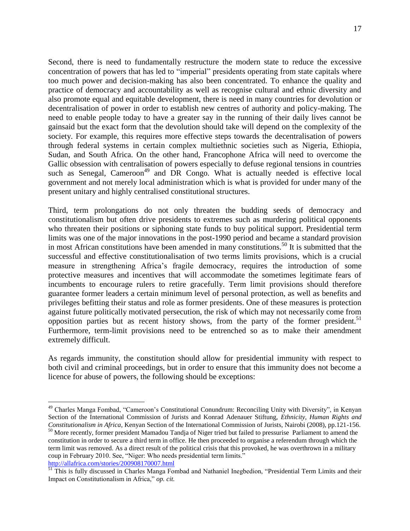Second, there is need to fundamentally restructure the modern state to reduce the excessive concentration of powers that has led to "imperial" presidents operating from state capitals where too much power and decision-making has also been concentrated. To enhance the quality and practice of democracy and accountability as well as recognise cultural and ethnic diversity and also promote equal and equitable development, there is need in many countries for devolution or decentralisation of power in order to establish new centres of authority and policy-making. The need to enable people today to have a greater say in the running of their daily lives cannot be gainsaid but the exact form that the devolution should take will depend on the complexity of the society. For example, this requires more effective steps towards the decentralisation of powers through federal systems in certain complex multiethnic societies such as Nigeria, Ethiopia, Sudan, and South Africa. On the other hand, Francophone Africa will need to overcome the Gallic obsession with centralisation of powers especially to defuse regional tensions in countries such as Senegal, Cameroon<sup>49</sup> and DR Congo. What is actually needed is effective local government and not merely local administration which is what is provided for under many of the present unitary and highly centralised constitutional structures.

Third, term prolongations do not only threaten the budding seeds of democracy and constitutionalism but often drive presidents to extremes such as murdering political opponents who threaten their positions or siphoning state funds to buy political support. Presidential term limits was one of the major innovations in the post-1990 period and became a standard provision in most African constitutions have been amended in many constitutions.<sup>50</sup> It is submitted that the successful and effective constitutionalisation of two terms limits provisions, which is a crucial measure in strengthening Africa"s fragile democracy, requires the introduction of some protective measures and incentives that will accommodate the sometimes legitimate fears of incumbents to encourage rulers to retire gracefully. Term limit provisions should therefore guarantee former leaders a certain minimum level of personal protection, as well as benefits and privileges befitting their status and role as former presidents. One of these measures is protection against future politically motivated persecution, the risk of which may not necessarily come from opposition parties but as recent history shows, from the party of the former president.<sup>51</sup> Furthermore, term-limit provisions need to be entrenched so as to make their amendment extremely difficult.

As regards immunity, the constitution should allow for presidential immunity with respect to both civil and criminal proceedings, but in order to ensure that this immunity does not become a licence for abuse of powers, the following should be exceptions:

<sup>&</sup>lt;sup>49</sup> Charles Manga Fombad, "Cameroon's Constitutional Conundrum: Reconciling Unity with Diversity", in Kenyan Section of the International Commission of Jurists and Konrad Adenauer Stiftung, *Ethnicity, Human Rights and Constitutionalism in Africa*, Kenyan Section of the International Commission of Jurists, Nairobi (2008), pp.121-156.

<sup>&</sup>lt;sup>50</sup> More recently, former president Mamadou Tandja of Niger tried but failed to pressurise Parliament to amend the constitution in order to secure a third term in office. He then proceeded to organise a referendum through which the term limit was removed. As a direct result of the political crisis that this provoked, he was overthrown in a military coup in February 2010. See, "Niger: Who needs presidential term limits." <http://allafrica.com/stories/200908170007.html>

<sup>&</sup>lt;sup>51</sup> This is fully discussed in Charles Manga Fombad and Nathaniel Inegbedion, "Presidential Term Limits and their Impact on Constitutionalism in Africa," *op. cit.*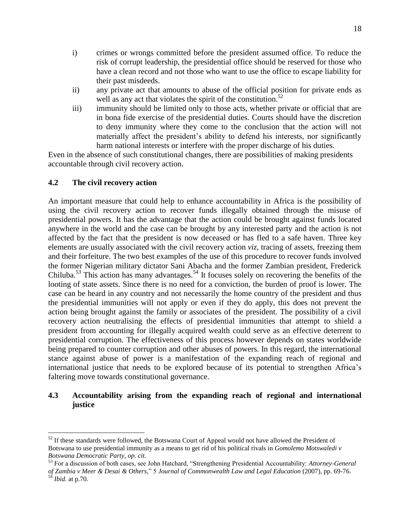- i) crimes or wrongs committed before the president assumed office. To reduce the risk of corrupt leadership, the presidential office should be reserved for those who have a clean record and not those who want to use the office to escape liability for their past misdeeds.
- ii) any private act that amounts to abuse of the official position for private ends as well as any act that violates the spirit of the constitution. $52$
- iii) immunity should be limited only to those acts, whether private or official that are in bona fide exercise of the presidential duties. Courts should have the discretion to deny immunity where they come to the conclusion that the action will not materially affect the president"s ability to defend his interests, nor significantly harm national interests or interfere with the proper discharge of his duties.

Even in the absence of such constitutional changes, there are possibilities of making presidents accountable through civil recovery action.

# **4.2 The civil recovery action**

 $\overline{a}$ 

An important measure that could help to enhance accountability in Africa is the possibility of using the civil recovery action to recover funds illegally obtained through the misuse of presidential powers. It has the advantage that the action could be brought against funds located anywhere in the world and the case can be brought by any interested party and the action is not affected by the fact that the president is now deceased or has fled to a safe haven. Three key elements are usually associated with the civil recovery action *viz*, tracing of assets, freezing them and their forfeiture. The two best examples of the use of this procedure to recover funds involved the former Nigerian military dictator Sani Abacha and the former Zambian president, Frederick Chiluba.<sup>53</sup> This action has many advantages.<sup>54</sup> It focuses solely on recovering the benefits of the looting of state assets. Since there is no need for a conviction, the burden of proof is lower. The case can be heard in any country and not necessarily the home country of the president and thus the presidential immunities will not apply or even if they do apply, this does not prevent the action being brought against the family or associates of the president. The possibility of a civil recovery action neutralising the effects of presidential immunities that attempt to shield a president from accounting for illegally acquired wealth could serve as an effective deterrent to presidential corruption. The effectiveness of this process however depends on states worldwide being prepared to counter corruption and other abuses of powers. In this regard, the international stance against abuse of power is a manifestation of the expanding reach of regional and international justice that needs to be explored because of its potential to strengthen Africa"s faltering move towards constitutional governance.

### **4.3 Accountability arising from the expanding reach of regional and international justice**

<sup>&</sup>lt;sup>52</sup> If these standards were followed, the Botswana Court of Appeal would not have allowed the President of Botswana to use presidential immunity as a means to get rid of his political rivals in *Gomolemo Motswaledi v Botswana Democratic Party*, *op. cit.*

<sup>53</sup> For a discussion of both cases, see John Hatchard, "Strengthening Presidential Accountability: *Attorney-General of Zambia v Meer & Desai & Others*," 5 *Journal of Commonwealth Law and Legal Education* (2007), pp. 69-76. <sup>54</sup> *Ibid.* at p.70.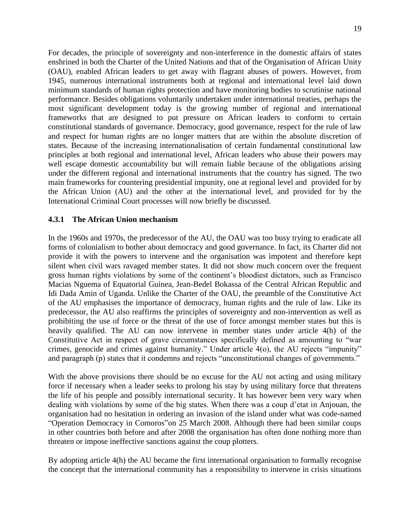For decades, the principle of sovereignty and non-interference in the domestic affairs of states enshrined in both the Charter of the United Nations and that of the Organisation of African Unity (OAU), enabled African leaders to get away with flagrant abuses of powers. However, from 1945, numerous international instruments both at regional and international level laid down minimum standards of human rights protection and have monitoring bodies to scrutinise national performance. Besides obligations voluntarily undertaken under international treaties, perhaps the most significant development today is the growing number of regional and international frameworks that are designed to put pressure on African leaders to conform to certain constitutional standards of governance. Democracy, good governance, respect for the rule of law and respect for human rights are no longer matters that are within the absolute discretion of states. Because of the increasing internationalisation of certain fundamental constitutional law principles at both regional and international level, African leaders who abuse their powers may well escape domestic accountability but will remain liable because of the obligations arising under the different regional and international instruments that the country has signed. The two main frameworks for countering presidential impunity, one at regional level and provided for by the African Union (AU) and the other at the international level, and provided for by the International Criminal Court processes will now briefly be discussed.

# **4.3.1 The African Union mechanism**

In the 1960s and 1970s, the predecessor of the AU, the OAU was too busy trying to eradicate all forms of colonialism to bother about democracy and good governance. In fact, its Charter did not provide it with the powers to intervene and the organisation was impotent and therefore kept silent when civil wars ravaged member states. It did not show much concern over the frequent gross human rights violations by some of the continent"s bloodiest dictators, such as Francisco Macias Nguema of Equatorial Guinea, Jean-Bedel Bokassa of the Central African Republic and Idi Dada Amin of Uganda. Unlike the Charter of the OAU, the preamble of the Constitutive Act of the AU emphasises the importance of democracy, human rights and the rule of law. Like its predecessor, the AU also reaffirms the principles of sovereignty and non-intervention as well as prohibiting the use of force or the threat of the use of force amongst member states but this is heavily qualified. The AU can now intervene in member states under article 4(h) of the Constitutive Act in respect of grave circumstances specifically defined as amounting to "war crimes, genocide and crimes against humanity." Under article 4(o), the AU rejects "impunity" and paragraph (p) states that it condemns and rejects "unconstitutional changes of governments."

With the above provisions there should be no excuse for the AU not acting and using military force if necessary when a leader seeks to prolong his stay by using military force that threatens the life of his people and possibly international security. It has however been very wary when dealing with violations by some of the big states. When there was a coup d"etat in Anjouan, the organisation had no hesitation in ordering an invasion of the island under what was code-named "Operation Democracy in Comoros"on 25 March 2008. Although there had been similar coups in other countries both before and after 2008 the organisation has often done nothing more than threaten or impose ineffective sanctions against the coup plotters.

By adopting article 4(h) the AU became the first international organisation to formally recognise the concept that the international community has a responsibility to intervene in crisis situations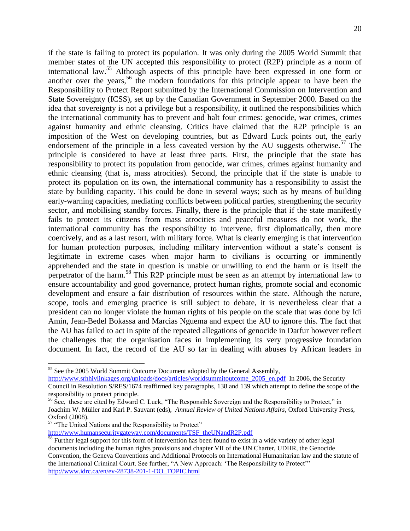if the state is failing to protect its population. It was only during the 2005 World Summit that member states of the UN accepted this responsibility to protect (R2P) principle as a norm of international law. <sup>55</sup> Although aspects of this principle have been expressed in one form or another over the years,<sup>56</sup> the modern foundations for this principle appear to have been the Responsibility to Protect Report submitted by the International Commission on Intervention and State Sovereignty (ICSS), set up by the Canadian Government in September 2000. Based on the idea that sovereignty is not a privilege but a responsibility, it outlined the responsibilities which the international community has to prevent and halt four crimes: genocide, war crimes, crimes against humanity and ethnic cleansing. Critics have claimed that the R2P principle is an imposition of the West on developing countries, but as Edward Luck points out, the early endorsement of the principle in a less caveated version by the AU suggests otherwise.<sup>57</sup> The principle is considered to have at least three parts. First, the principle that the state has responsibility to protect its population from genocide, war crimes, crimes against humanity and ethnic cleansing (that is, mass atrocities). Second, the principle that if the state is unable to protect its population on its own, the international community has a responsibility to assist the state by building capacity. This could be done in several ways; such as by means of building early-warning capacities, mediating conflicts between political parties, strengthening the security sector, and mobilising standby forces. Finally, there is the principle that if the state manifestly fails to protect its citizens from mass atrocities and peaceful measures do not work, the international community has the responsibility to intervene, first diplomatically, then more coercively, and as a last resort, with military force. What is clearly emerging is that intervention for human protection purposes, including military intervention without a state"s consent is legitimate in extreme cases when major harm to civilians is occurring or imminently apprehended and the state in question is unable or unwilling to end the harm or is itself the perpetrator of the harm.<sup>58</sup> This R2P principle must be seen as an attempt by international law to ensure accountability and good governance, protect human rights, promote social and economic development and ensure a fair distribution of resources within the state. Although the nature, scope, tools and emerging practice is still subject to debate, it is nevertheless clear that a president can no longer violate the human rights of his people on the scale that was done by Idi Amin, Jean-Bedel Bokassa and Marcias Nguema and expect the AU to ignore this. The fact that the AU has failed to act in spite of the repeated allegations of genocide in Darfur however reflect the challenges that the organisation faces in implementing its very progressive foundation document. In fact, the record of the AU so far in dealing with abuses by African leaders in

[http://www.humansecuritygateway.com/documents/TSF\\_theUNandR2P.pdf](http://www.humansecuritygateway.com/documents/TSF_theUNandR2P.pdf)

 $\overline{a}$ <sup>55</sup> See the 2005 World Summit Outcome Document adopted by the General Assembly,

[http://www.srhhivlinkages.org/uploads/docs/articles/worldsummitoutcome\\_2005\\_en.pdf](http://www.srhhivlinkages.org/uploads/docs/articles/worldsummitoutcome_2005_en.pdf) In 2006, the Security Council in Resolution S/RES/1674 reaffirmed key paragraphs, 138 and 139 which attempt to define the scope of the responsibility to protect principle.

<sup>&</sup>lt;sup>56</sup> See, these are cited by Edward C. Luck, "The Responsible Sovereign and the Responsibility to Protect," in Joachim W. Müller and Karl P. Sauvant (eds), *Annual Review of United Nations Affairs*, Oxford University Press, Oxford (2008).

<sup>&</sup>lt;sup>57</sup> "The United Nations and the Responsibility to Protect"

<sup>&</sup>lt;sup>58</sup> Further legal support for this form of intervention has been found to exist in a wide variety of other legal documents including the human rights provisions and chapter VII of the UN Charter, UDHR, the Genocide Convention, the Geneva Conventions and Additional Protocols on International Humanitarian law and the statute of the International Criminal Court. See further, "A New Approach: "The Responsibility to Protect"" [http://www.idrc.ca/en/ev-28738-201-1-DO\\_TOPIC.html](http://www.idrc.ca/en/ev-28738-201-1-DO_TOPIC.html)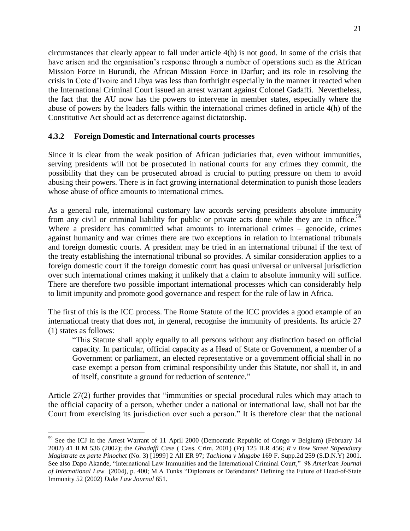circumstances that clearly appear to fall under article 4(h) is not good. In some of the crisis that have arisen and the organisation"s response through a number of operations such as the African Mission Force in Burundi, the African Mission Force in Darfur; and its role in resolving the crisis in Cote d"Ivoire and Libya was less than forthright especially in the manner it reacted when the International Criminal Court issued an arrest warrant against Colonel Gadaffi. Nevertheless, the fact that the AU now has the powers to intervene in member states, especially where the abuse of powers by the leaders falls within the international crimes defined in article 4(h) of the Constitutive Act should act as deterrence against dictatorship.

# **4.3.2 Foreign Domestic and International courts processes**

Since it is clear from the weak position of African judiciaries that, even without immunities, serving presidents will not be prosecuted in national courts for any crimes they commit, the possibility that they can be prosecuted abroad is crucial to putting pressure on them to avoid abusing their powers. There is in fact growing international determination to punish those leaders whose abuse of office amounts to international crimes.

As a general rule, international customary law accords serving presidents absolute immunity from any civil or criminal liability for public or private acts done while they are in office.<sup>5</sup> Where a president has committed what amounts to international crimes – genocide, crimes against humanity and war crimes there are two exceptions in relation to international tribunals and foreign domestic courts. A president may be tried in an international tribunal if the text of the treaty establishing the international tribunal so provides. A similar consideration applies to a foreign domestic court if the foreign domestic court has quasi universal or universal jurisdiction over such international crimes making it unlikely that a claim to absolute immunity will suffice. There are therefore two possible important international processes which can considerably help to limit impunity and promote good governance and respect for the rule of law in Africa.

The first of this is the ICC process. The Rome Statute of the ICC provides a good example of an international treaty that does not, in general, recognise the immunity of presidents. Its article 27 (1) states as follows:

"This Statute shall apply equally to all persons without any distinction based on official capacity. In particular, official capacity as a Head of State or Government, a member of a Government or parliament, an elected representative or a government official shall in no case exempt a person from criminal responsibility under this Statute, nor shall it, in and of itself, constitute a ground for reduction of sentence."

Article 27(2) further provides that "immunities or special procedural rules which may attach to the official capacity of a person, whether under a national or international law, shall not bar the Court from exercising its jurisdiction over such a person." It is therefore clear that the national

<sup>&</sup>lt;sup>59</sup> See the ICJ in the Arrest Warrant of 11 April 2000 (Democratic Republic of Congo v Belgium) (February 14 2002) 41 ILM 536 (2002); the *Ghadaffi Case* ( Cass. Crim. 2001) (Fr) 125 ILR 456; *R v Bow Street Stipendiary Magistrate ex parte Pinochet* (No. 3) [1999] 2 All ER 97; *Tachiona v Mugabe* 169 F. Supp.2d 259 (S.D.N.Y) 2001. See also Dapo Akande, "International Law Immunities and the International Criminal Court," 98 *American Journal of International Law* (2004), p. 400; M.A Tunks "Diplomats or Defendants? Defining the Future of Head-of-State Immunity 52 (2002) *Duke Law Journal* 651.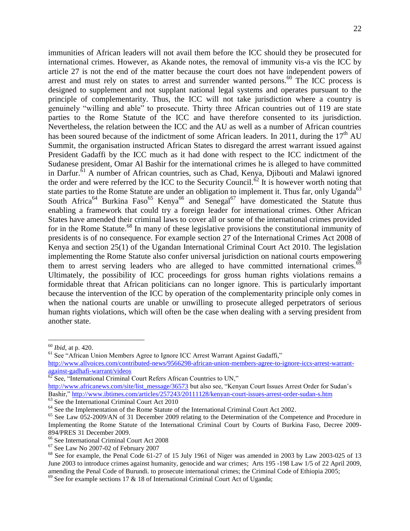immunities of African leaders will not avail them before the ICC should they be prosecuted for international crimes. However, as Akande notes, the removal of immunity vis-a vis the ICC by article 27 is not the end of the matter because the court does not have independent powers of arrest and must rely on states to arrest and surrender wanted persons. $^{60}$  The ICC process is designed to supplement and not supplant national legal systems and operates pursuant to the principle of complementarity. Thus, the ICC will not take jurisdiction where a country is genuinely "willing and able" to prosecute. Thirty three African countries out of 119 are state parties to the Rome Statute of the ICC and have therefore consented to its jurisdiction. Nevertheless, the relation between the ICC and the AU as well as a number of African countries has been soured because of the indictment of some African leaders. In 2011, during the  $17<sup>th</sup>$  AU Summit, the organisation instructed African States to disregard the arrest warrant issued against President Gadaffi by the ICC much as it had done with respect to the ICC indictment of the Sudanese president, Omar Al Bashir for the international crimes he is alleged to have committed in Darfur. ${}^{61}$  A number of African countries, such as Chad, Kenya, Djibouti and Malawi ignored the order and were referred by the ICC to the Security Council.<sup> $\delta$ 2</sup> It is however worth noting that state parties to the Rome Statute are under an obligation to implement it. Thus far, only Uganda<sup>63</sup> South Africa<sup>64</sup> Burkina Faso<sup>65</sup> Kenya<sup>66</sup> and Senegal<sup>67</sup> have domesticated the Statute thus enabling a framework that could try a foreign leader for international crimes. Other African States have amended their criminal laws to cover all or some of the international crimes provided for in the Rome Statute.<sup>68</sup> In many of these legislative provisions the constitutional immunity of presidents is of no consequence. For example section 27 of the International Crimes Act 2008 of Kenya and section 25(1) of the Ugandan International Criminal Court Act 2010. The legislation implementing the Rome Statute also confer universal jurisdiction on national courts empowering them to arrest serving leaders who are alleged to have committed international crimes. $69$ Ultimately, the possibility of ICC proceedings for gross human rights violations remains a formidable threat that African politicians can no longer ignore. This is particularly important because the intervention of the ICC by operation of the complementarity principle only comes in when the national courts are unable or unwilling to prosecute alleged perpetrators of serious human rights violations, which will often be the case when dealing with a serving president from another state.

<sup>60</sup> *Ibid*, at p. 420.

<sup>&</sup>lt;sup>61</sup> See "African Union Members Agree to Ignore ICC Arrest Warrant Against Gadaffi,"

[http://www.allvoices.com/contributed-news/9566298-african-union-members-agree-to-ignore-iccs-arrest-warrant](http://www.allvoices.com/contributed-news/9566298-african-union-members-agree-to-ignore-iccs-arrest-warrant-against-gadhafi-warrant/videos)[against-gadhafi-warrant/videos](http://www.allvoices.com/contributed-news/9566298-african-union-members-agree-to-ignore-iccs-arrest-warrant-against-gadhafi-warrant/videos)

 $62$  See, "International Criminal Court Refers African Countries to UN,"

[http://www.africanews.com/site/list\\_message/36573](http://www.africanews.com/site/list_message/36573) but also see, "Kenyan Court Issues Arrest Order for Sudan's Bashir,"<http://www.ibtimes.com/articles/257243/20111128/kenyan-court-issues-arrest-order-sudan-s.htm>

<sup>&</sup>lt;sup>63</sup> See the International Criminal Court Act 2010

<sup>&</sup>lt;sup>64</sup> See the Implementation of the Rome Statute of the International Criminal Court Act 2002.

<sup>&</sup>lt;sup>65</sup> See Law 052-2009/AN of 31 December 2009 relating to the Determination of the Competence and Procedure in Implementing the Rome Statute of the International Criminal Court by Courts of Burkina Faso, Decree 2009- 894/PRES 31 December 2009.

<sup>66</sup> See International Criminal Court Act 2008

<sup>67</sup> See Law No 2007-02 of February 2007

<sup>&</sup>lt;sup>68</sup> See for example, the Penal Code 61-27 of 15 July 1961 of Niger was amended in 2003 by Law 2003-025 of 13 June 2003 to introduce crimes against humanity, genocide and war crimes; Arts 195 -198 Law 1/5 of 22 April 2009, amending the Penal Code of Burundi. to prosecute international crimes; the Criminal Code of Ethiopia 2005;

 $69$  See for example sections 17 & 18 of International Criminal Court Act of Uganda;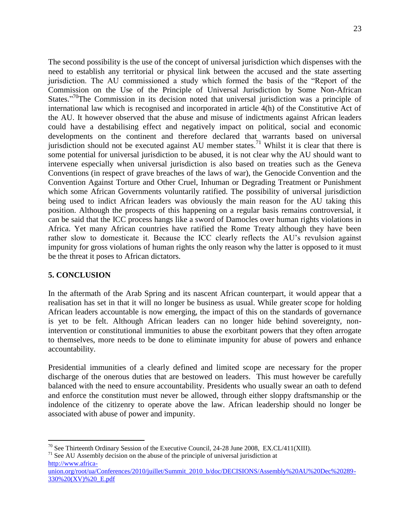The second possibility is the use of the concept of universal jurisdiction which dispenses with the need to establish any territorial or physical link between the accused and the state asserting jurisdiction. The AU commissioned a study which formed the basis of the "Report of the Commission on the Use of the Principle of Universal Jurisdiction by Some Non-African States."<sup>70</sup>The Commission in its decision noted that universal jurisdiction was a principle of international law which is recognised and incorporated in article 4(h) of the Constitutive Act of the AU. It however observed that the abuse and misuse of indictments against African leaders could have a destabilising effect and negatively impact on political, social and economic developments on the continent and therefore declared that warrants based on universal jurisdiction should not be executed against AU member states.<sup>71</sup> Whilst it is clear that there is some potential for universal jurisdiction to be abused, it is not clear why the AU should want to intervene especially when universal jurisdiction is also based on treaties such as the Geneva Conventions (in respect of grave breaches of the laws of war), the Genocide Convention and the Convention Against Torture and Other Cruel, Inhuman or Degrading Treatment or Punishment which some African Governments voluntarily ratified. The possibility of universal jurisdiction being used to indict African leaders was obviously the main reason for the AU taking this position. Although the prospects of this happening on a regular basis remains controversial, it can be said that the ICC process hangs like a sword of Damocles over human rights violations in Africa. Yet many African countries have ratified the Rome Treaty although they have been rather slow to domesticate it. Because the ICC clearly reflects the AU"s revulsion against impunity for gross violations of human rights the only reason why the latter is opposed to it must be the threat it poses to African dictators.

# **5. CONCLUSION**

In the aftermath of the Arab Spring and its nascent African counterpart, it would appear that a realisation has set in that it will no longer be business as usual. While greater scope for holding African leaders accountable is now emerging, the impact of this on the standards of governance is yet to be felt. Although African leaders can no longer hide behind sovereignty, nonintervention or constitutional immunities to abuse the exorbitant powers that they often arrogate to themselves, more needs to be done to eliminate impunity for abuse of powers and enhance accountability.

Presidential immunities of a clearly defined and limited scope are necessary for the proper discharge of the onerous duties that are bestowed on leaders. This must however be carefully balanced with the need to ensure accountability. Presidents who usually swear an oath to defend and enforce the constitution must never be allowed, through either sloppy draftsmanship or the indolence of the citizenry to operate above the law. African leadership should no longer be associated with abuse of power and impunity.

 $\overline{a}$  $^{70}$  See Thirteenth Ordinary Session of the Executive Council, 24-28 June 2008, EX.CL/411(XIII).

 $71$  See AU Assembly decision on the abuse of the principle of universal jurisdiction at [http://www.africa-](http://www.africa-union.org/root/ua/Conferences/2010/juillet/Summit_2010_b/doc/DECISIONS/Assembly%20AU%20Dec%20289-330%20(XV)%20_E.pdf)

[union.org/root/ua/Conferences/2010/juillet/Summit\\_2010\\_b/doc/DECISIONS/Assembly%20AU%20Dec%20289-](http://www.africa-union.org/root/ua/Conferences/2010/juillet/Summit_2010_b/doc/DECISIONS/Assembly%20AU%20Dec%20289-330%20(XV)%20_E.pdf) [330%20\(XV\)%20\\_E.pdf](http://www.africa-union.org/root/ua/Conferences/2010/juillet/Summit_2010_b/doc/DECISIONS/Assembly%20AU%20Dec%20289-330%20(XV)%20_E.pdf)